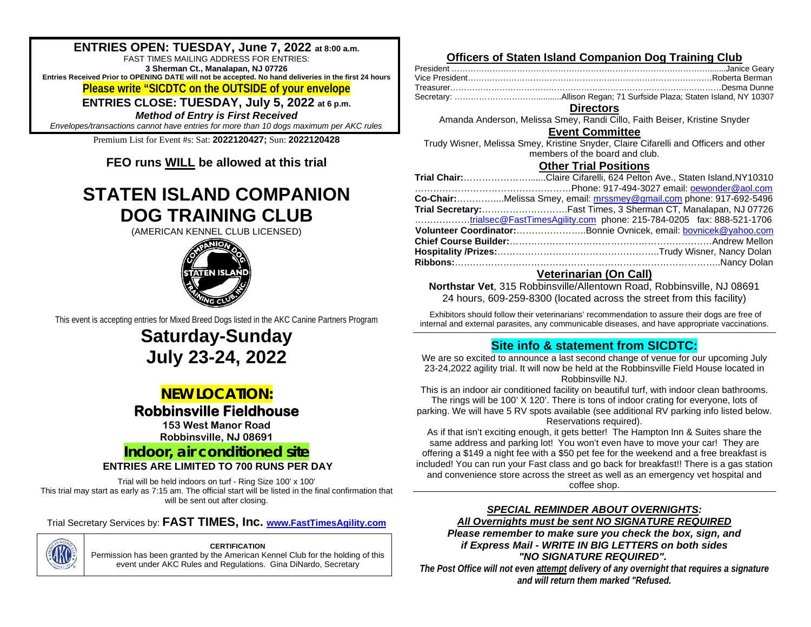### **ENTRIES OPEN: TUESDAY, June 7, 2022 at 8:00 a.m.**

FAST TIMES MAILING ADDRESS FOR ENTRIES: **3 Sherman Ct., Manalapan, NJ 07726 Entries Received Prior to OPENING DATE will not be accepted. No hand deliveries in the first 24 hours Please write "SICDTC on the OUTSIDE of your envelope**

**ENTRIES CLOSE: TUESDAY, July 5, 2022 at 6 p.m.**

*Method of Entry is First Received*

*Envelopes/transactions cannot have entries for more than 10 dogs maximum per AKC rules*.

Premium List for Event #s: Sat: **2022120427;** Sun: **2022120428**

**FEO runs WILL be allowed at this trial**

# **STATEN ISLAND COMPANION DOG TRAINING CLUB**

(AMERICAN KENNEL CLUB LICENSED)



This event is accepting entries for Mixed Breed Dogs listed in the AKC Canine Partners Program

# **Saturday-Sunday July 23-24, 2022**

## *NEW LOCATION:*

# **Robbinsville Fieldhouse 153 West Manor Road**

**Robbinsville, NJ 08691**

## **Indoor, air conditioned site**

### **ENTRIES ARE LIMITED TO 700 RUNS PER DAY**

Trial will be held indoors on turf - Ring Size 100' x 100' This trial may start as early as 7:15 am. The official start will be listed in the final confirmation that will be sent out after closing.

### Trial Secretary Services by: **FAST TIMES, Inc. [www.FastTimesAgility.com](about:blank)**



**CERTIFICATION** Permission has been granted by the American Kennel Club for the holding of this

event under AKC Rules and Regulations. Gina DiNardo, Secretary

### **Officers of Staten Island Companion Dog Training Club**

**Directors**

Amanda Anderson, Melissa Smey, Randi Cillo, Faith Beiser, Kristine Snyder

#### **Event Committee**

Trudy Wisner, Melissa Smey, Kristine Snyder, Claire Cifarelli and Officers and other members of the board and club.

### **Other Trial Positions**

| Trial Chair:Claire Cifarelli, 624 Pelton Ave., Staten Island, NY10310 |
|-----------------------------------------------------------------------|
|                                                                       |
| Co-Chair:Melissa Smey, email: mrssmey@gmail.com phone: 917-692-5496   |
| Trial Secretary:Fast Times, 3 Sherman CT, Manalapan, NJ 07726         |
| trialsec@FastTimesAgility.com phone: 215-784-0205 fax: 888-521-1706   |
| Volunteer Coordinator:Bonnie Ovnicek, email: bovnicek@yahoo.com       |
|                                                                       |
|                                                                       |
|                                                                       |

### **Veterinarian (On Call)**

**Northstar Vet**, 315 Robbinsville/Allentown Road, Robbinsville, NJ 08691 24 hours, 609-259-8300 (located across the street from this facility)

Exhibitors should follow their veterinarians' recommendation to assure their dogs are free of internal and external parasites, any communicable diseases, and have appropriate vaccinations.

### **Site info & statement from SICDTC:**

We are so excited to announce a last second change of venue for our upcoming July 23-24,2022 agility trial. It will now be held at the Robbinsville Field House located in Robbinsville NJ.

This is an indoor air conditioned facility on beautiful turf, with indoor clean bathrooms. The rings will be 100' X 120'. There is tons of indoor crating for everyone, lots of parking. We will have 5 RV spots available (see additional RV parking info listed below. Reservations required).

As if that isn't exciting enough, it gets better! The Hampton Inn & Suites share the same address and parking lot! You won't even have to move your car! They are offering a \$149 a night fee with a \$50 pet fee for the weekend and a free breakfast is included! You can run your Fast class and go back for breakfast!! There is a gas station and convenience store across the street as well as an emergency vet hospital and coffee shop.

### *SPECIAL REMINDER ABOUT OVERNIGHTS:*

*All Overnights must be sent NO SIGNATURE REQUIRED Please remember to make sure you check the box, sign, and if Express Mail - WRITE IN BIG LETTERS on both sides "NO SIGNATURE REQUIRED".*

*The Post Office will not even attempt delivery of any overnight that requires a signature and will return them marked "Refused.*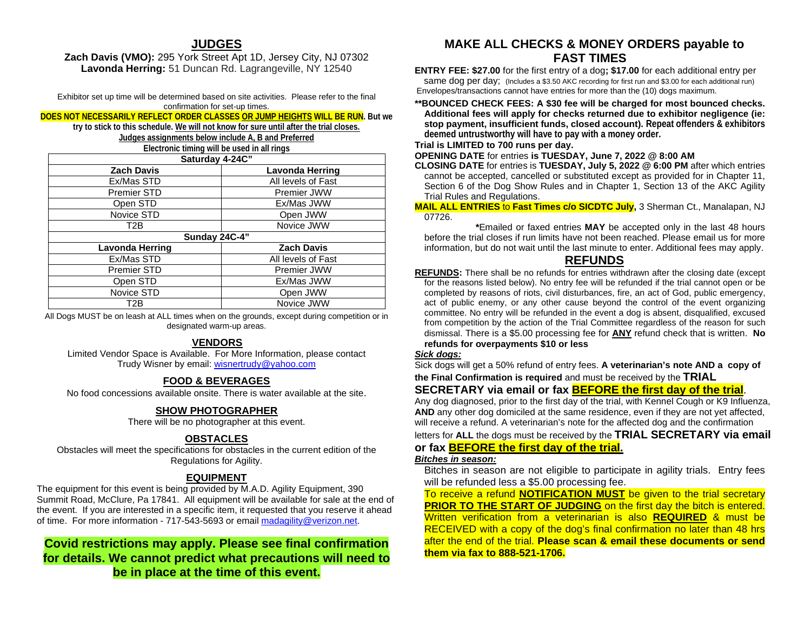### **JUDGES**

#### **Zach Davis (VMO):** 295 York Street Apt 1D, Jersey City, NJ 07302 **Lavonda Herring:** 51 Duncan Rd. Lagrangeville, NY 12540

Exhibitor set up time will be determined based on site activities. Please refer to the final confirmation for set-up times.

### **DOES NOT NECESSARILY REFLECT ORDER CLASSES OR JUMP HEIGHTS WILL BE RUN. But we**

**try to stick to this schedule. We will not know for sure until after the trial closes. Judges assignments below include A, B and Preferred** 

| Electronic timing will be used in all rings |                    |  |  |
|---------------------------------------------|--------------------|--|--|
| Saturday 4-24C"                             |                    |  |  |
| <b>Zach Davis</b>                           | Lavonda Herring    |  |  |
| Ex/Mas STD                                  | All levels of Fast |  |  |
| <b>Premier STD</b>                          | Premier JWW        |  |  |
| Open STD                                    | Ex/Mas JWW         |  |  |
| Novice STD                                  | Open JWW           |  |  |
| T <sub>2</sub> B                            | Novice JWW         |  |  |
| Sunday 24C-4"                               |                    |  |  |
| Lavonda Herring                             | <b>Zach Davis</b>  |  |  |
| Ex/Mas STD                                  | All levels of Fast |  |  |
| <b>Premier STD</b>                          | Premier JWW        |  |  |
| Open STD                                    | Ex/Mas JWW         |  |  |
| Novice STD                                  | Open JWW           |  |  |
| T2B                                         | Novice JWW         |  |  |

All Dogs MUST be on leash at ALL times when on the grounds, except during competition or in designated warm-up areas.

### .**VENDORS**

Limited Vendor Space is Available. For More Information, please contact Trudy Wisner by email: [wisnertrudy@yahoo.com](about:blank)

### **FOOD & BEVERAGES**

No food concessions available onsite. There is water available at the site.

#### **SHOW PHOTOGRAPHER**

There will be no photographer at this event.

#### **OBSTACLES**

Obstacles will meet the specifications for obstacles in the current edition of the Regulations for Agility.

#### **EQUIPMENT**

The equipment for this event is being provided by M.A.D. Agility Equipment, 390 Summit Road, McClure, Pa 17841. All equipment will be available for sale at the end of the event. If you are interested in a specific item, it requested that you reserve it ahead of time. For more information - 717-543-5693 or email [madagility@verizon.net.](about:blank)

### **Covid restrictions may apply. Please see final confirmation for details. We cannot predict what precautions will need to be in place at the time of this event.**

### **MAKE ALL CHECKS & MONEY ORDERS payable to FAST TIMES**

**ENTRY FEE: \$27.00** for the first entry of a dog**; \$17.00** for each additional entry per same dog per day; (Includes a \$3.50 AKC recording for first run and \$3.00 for each additional run) Envelopes/transactions cannot have entries for more than the (10) dogs maximum.

**\*\*BOUNCED CHECK FEES: A \$30 fee will be charged for most bounced checks. Additional fees will apply for checks returned due to exhibitor negligence (ie: stop payment, insufficient funds, closed account). Repeat offenders & exhibitors deemed untrustworthy will have to pay with a money order.** 

#### **Trial is LIMITED to 700 runs per day.**

**OPENING DATE** for entries **is TUESDAY, June 7, 2022 @ 8:00 AM**

**CLOSING DATE** for entries is **TUESDAY, July 5, 2022 @ 6:00 PM** after which entries cannot be accepted, cancelled or substituted except as provided for in Chapter 11, Section 6 of the Dog Show Rules and in Chapter 1, Section 13 of the AKC Agility Trial Rules and Regulations.

**MAIL ALL ENTRIES** to **Fast Times c/o SICDTC July,** 3 Sherman Ct., Manalapan, NJ 07726.

 **\***Emailed or faxed entries **MAY** be accepted only in the last 48 hours before the trial closes if run limits have not been reached. Please email us for more information, but do not wait until the last minute to enter. Additional fees may apply.

### **REFUNDS**

**REFUNDS:** There shall be no refunds for entries withdrawn after the closing date (except for the reasons listed below). No entry fee will be refunded if the trial cannot open or be completed by reasons of riots, civil disturbances, fire, an act of God, public emergency, act of public enemy, or any other cause beyond the control of the event organizing committee. No entry will be refunded in the event a dog is absent, disqualified, excused from competition by the action of the Trial Committee regardless of the reason for such dismissal. There is a \$5.00 processing fee for **ANY** refund check that is written. **No refunds for overpayments \$10 or less**

#### *Sick dogs:*

Sick dogs will get a 50% refund of entry fees. **A veterinarian's note AND a copy of the Final Confirmation is required** and must be received by the **TRIAL** 

### **SECRETARY via email or fax BEFORE the first day of the trial**.

Any dog diagnosed, prior to the first day of the trial, with Kennel Cough or K9 Influenza, **AND** any other dog domiciled at the same residence, even if they are not yet affected, will receive a refund. A veterinarian's note for the affected dog and the confirmation

letters for **ALL** the dogs must be received by the **TRIAL SECRETARY via email** 

### **or fax BEFORE the first day of the trial.**

#### *Bitches in season:*

Bitches in season are not eligible to participate in agility trials. Entry fees will be refunded less a \$5.00 processing fee.

To receive a refund **NOTIFICATION MUST** be given to the trial secretary **PRIOR TO THE START OF JUDGING** on the first day the bitch is entered. Written verification from a veterinarian is also **REQUIRED** & must be RECEIVED with a copy of the dog's final confirmation no later than 48 hrs after the end of the trial. **Please scan & email these documents or send them via fax to 888-521-1706.**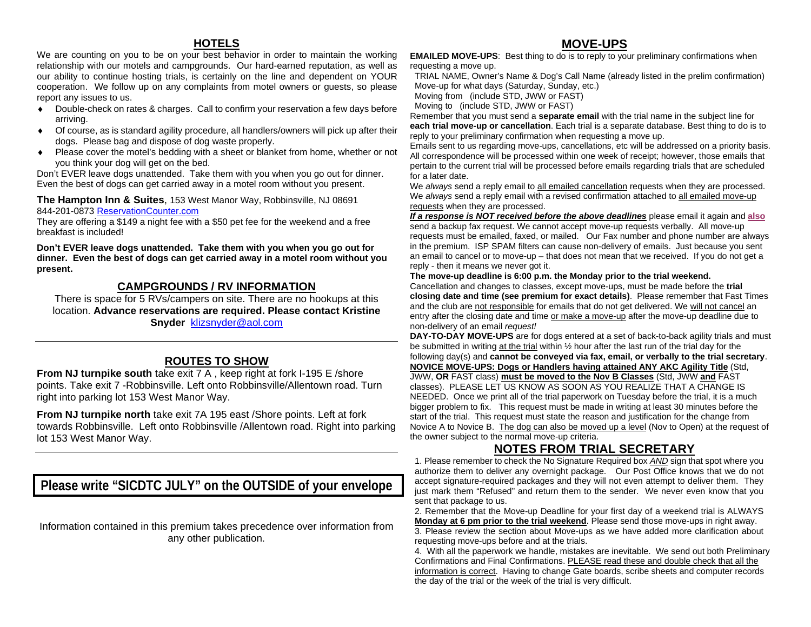### **HOTELS**

We are counting on you to be on your best behavior in order to maintain the working relationship with our motels and campgrounds. Our hard-earned reputation, as well as our ability to continue hosting trials, is certainly on the line and dependent on YOUR cooperation. We follow up on any complaints from motel owners or guests, so please report any issues to us.

- ♦ Double-check on rates & charges. Call to confirm your reservation a few days before arriving.
- ♦ Of course, as is standard agility procedure, all handlers/owners will pick up after their dogs. Please bag and dispose of dog waste properly.
- ♦ Please cover the motel's bedding with a sheet or blanket from home, whether or not you think your dog will get on the bed.

Don't EVER leave dogs unattended. Take them with you when you go out for dinner. Even the best of dogs can get carried away in a motel room without you present.

#### **The Hampton Inn & Suites**, 153 West Manor Way, Robbinsville, NJ 08691 [844-201-0873](about:blank) [ReservationCounter.com](about:blank)

They are offering a \$149 a night fee with a \$50 pet fee for the weekend and a free breakfast is included!

**Don't EVER leave dogs unattended. Take them with you when you go out for dinner. Even the best of dogs can get carried away in a motel room without you present.**

### **CAMPGROUNDS / RV INFORMATION**

There is space for 5 RVs/campers on site. There are no hookups at this location. **Advance reservations are required. Please contact Kristine Snyder** [klizsnyder@aol.com](about:blank)

### **ROUTES TO SHOW**

**From NJ turnpike south** take exit 7 A, keep right at fork I-195 E /shore points. Take exit 7 -Robbinsville. Left onto Robbinsville/Allentown road. Turn right into parking lot 153 West Manor Way.

**From NJ turnpike north** take exit 7A 195 east /Shore points. Left at fork towards Robbinsville. Left onto Robbinsville /Allentown road. Right into parking lot 153 West Manor Way.

**Please write "SICDTC JULY" on the OUTSIDE of your envelope**

Information contained in this premium takes precedence over information from any other publication.

### **MOVE-UPS**

**EMAILED MOVE-UPS:** Best thing to do is to reply to your preliminary confirmations when requesting a move up.

TRIAL NAME, Owner's Name & Dog's Call Name (already listed in the prelim confirmation) Move-up for what days (Saturday, Sunday, etc.)

Moving from (include STD, JWW or FAST)

Moving to (include STD, JWW or FAST)

Remember that you must send a **separate email** with the trial name in the subject line for **each trial move-up or cancellation**. Each trial is a separate database. Best thing to do is to reply to your preliminary confirmation when requesting a move up.

Emails sent to us regarding move-ups, cancellations, etc will be addressed on a priority basis. All correspondence will be processed within one week of receipt; however, those emails that pertain to the current trial will be processed before emails regarding trials that are scheduled for a later date.

We *always* send a reply email to all emailed cancellation requests when they are processed. We *always* send a reply email with a revised confirmation attached to all emailed move-up requests when they are processed.

*If a response is NOT received before the above deadlines* please email it again and **also** send a backup fax request. We cannot accept move-up requests verbally. All move-up requests must be emailed, faxed, or mailed. Our Fax number and phone number are always in the premium. ISP SPAM filters can cause non-delivery of emails. Just because you sent an email to cancel or to move-up – that does not mean that we received. If you do not get a reply - then it means we never got it.

#### **The move-up deadline is 6:00 p.m. the Monday prior to the trial weekend.**

Cancellation and changes to classes, except move-ups, must be made before the **trial closing date and time (see premium for exact details)**. Please remember that Fast Times and the club are not responsible for emails that do not get delivered. We will not cancel an entry after the closing date and time or make a move-up after the move-up deadline due to non-delivery of an email *request!*

**DAY-TO-DAY MOVE-UPS** are for dogs entered at a set of back-to-back agility trials and must be submitted in writing at the trial within ½ hour after the last run of the trial day for the following day(s) and **cannot be conveyed via fax, email, or verbally to the trial secretary**. **NOVICE MOVE-UPS: Dogs or Handlers having attained ANY AKC Agility Title** (Std, JWW, **OR** FAST class) **must be moved to the Nov B Classes** (Std, JWW **and** FAST classes). PLEASE LET US KNOW AS SOON AS YOU REALIZE THAT A CHANGE IS NEEDED. Once we print all of the trial paperwork on Tuesday before the trial, it is a much bigger problem to fix. This request must be made in writing at least 30 minutes before the start of the trial. This request must state the reason and justification for the change from Novice A to Novice B. The dog can also be moved up a level (Nov to Open) at the request of the owner subject to the normal move-up criteria.

### **NOTES FROM TRIAL SECRETARY**

1. Please remember to check the No Signature Required box *AND* sign that spot where you authorize them to deliver any overnight package. Our Post Office knows that we do not accept signature-required packages and they will not even attempt to deliver them. They just mark them "Refused" and return them to the sender. We never even know that you sent that package to us.

2. Remember that the Move-up Deadline for your first day of a weekend trial is ALWAYS **Monday at 6 pm prior to the trial weekend**. Please send those move-ups in right away. 3. Please review the section about Move-ups as we have added more clarification about requesting move-ups before and at the trials.

4. With all the paperwork we handle, mistakes are inevitable. We send out both Preliminary Confirmations and Final Confirmations. PLEASE read these and double check that all the information is correct. Having to change Gate boards, scribe sheets and computer records the day of the trial or the week of the trial is very difficult.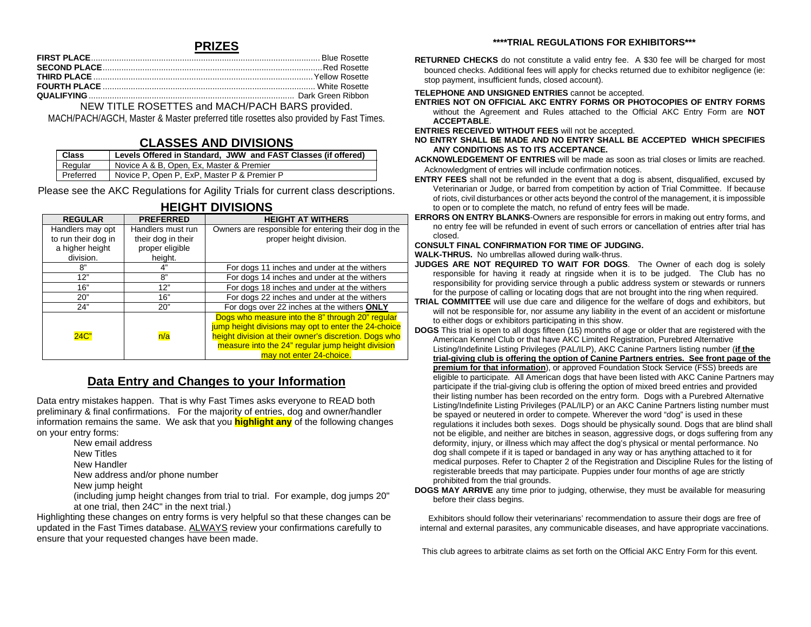### **PRIZES**

#### NEW TITLE ROSETTES and MACH/PACH BARS provided.

MACH/PACH/AGCH, Master & Master preferred title rosettes also provided by Fast Times.

#### **CLASSES AND DIVISIONS**

| Class            | Levels Offered in Standard, JWW and FAST Classes (if offered) |
|------------------|---------------------------------------------------------------|
| Regular          | Novice A & B, Open, Ex, Master & Premier                      |
| <b>Preferred</b> | Novice P, Open P, ExP, Master P & Premier P                   |

Please see the AKC Regulations for Agility Trials for current class descriptions.

| <b>REGULAR</b>      | <b>PREFERRED</b>   | <b>HEIGHT AT WITHERS</b>                                                                                 |
|---------------------|--------------------|----------------------------------------------------------------------------------------------------------|
| Handlers may opt    | Handlers must run  | Owners are responsible for entering their dog in the                                                     |
| to run their dog in | their dog in their | proper height division.                                                                                  |
| a higher height     | proper eligible    |                                                                                                          |
| division.           | height.            |                                                                                                          |
| ጸ"                  | 4"                 | For dogs 11 inches and under at the withers                                                              |
| 12"                 | 8"                 | For dogs 14 inches and under at the withers                                                              |
| 16"                 | 12"                | For dogs 18 inches and under at the withers                                                              |
| 20"                 | 16"                | For dogs 22 inches and under at the withers                                                              |
| 24"                 | 20"                | For dogs over 22 inches at the withers ONLY                                                              |
|                     |                    | Dogs who measure into the 8" through 20" regular<br>jump height divisions may opt to enter the 24-choice |
| 24C                 | n/a                | height division at their owner's discretion. Dogs who                                                    |
|                     |                    | measure into the 24" regular jump height division                                                        |
|                     |                    | may not enter 24-choice.                                                                                 |

### **HEIGHT DIVISIONS**

### **Data Entry and Changes to your Information**

Data entry mistakes happen. That is why Fast Times asks everyone to READ both preliminary & final confirmations. For the majority of entries, dog and owner/handler information remains the same. We ask that you **highlight any** of the following changes on your entry forms:

- New email address
- New Titles
- New Handler
- New address and/or phone number
- New jump height

(including jump height changes from trial to trial. For example, dog jumps 20" at one trial, then 24C" in the next trial.)

Highlighting these changes on entry forms is very helpful so that these changes can be updated in the Fast Times database. ALWAYS review your confirmations carefully to ensure that your requested changes have been made.

#### **RETURNED CHECKS** do not constitute a valid entry fee. A \$30 fee will be charged for most bounced checks. Additional fees will apply for checks returned due to exhibitor negligence (ie: stop payment, insufficient funds, closed account).

#### **TELEPHONE AND UNSIGNED ENTRIES** cannot be accepted.

**ENTRIES NOT ON OFFICIAL AKC ENTRY FORMS OR PHOTOCOPIES OF ENTRY FORMS** without the Agreement and Rules attached to the Official AKC Entry Form are **NOT ACCEPTABLE**.

**ENTRIES RECEIVED WITHOUT FEES** will not be accepted.

**NO ENTRY SHALL BE MADE AND NO ENTRY SHALL BE ACCEPTED WHICH SPECIFIES ANY CONDITIONS AS TO ITS ACCEPTANCE.**

**ACKNOWLEDGEMENT OF ENTRIES** will be made as soon as trial closes or limits are reached. Acknowledgment of entries will include confirmation notices.

- **ENTRY FEES** shall not be refunded in the event that a dog is absent, disqualified, excused by Veterinarian or Judge, or barred from competition by action of Trial Committee. If because of riots, civil disturbances or other acts beyond the control of the management, it is impossible to open or to complete the match, no refund of entry fees will be made.
- **ERRORS ON ENTRY BLANKS**-Owners are responsible for errors in making out entry forms, and no entry fee will be refunded in event of such errors or cancellation of entries after trial has closed.

#### **CONSULT FINAL CONFIRMATION FOR TIME OF JUDGING.**

**WALK-THRUS.** No umbrellas allowed during walk-thrus.

- **JUDGES ARE NOT REQUIRED TO WAIT FOR DOGS**. The Owner of each dog is solely responsible for having it ready at ringside when it is to be judged. The Club has no responsibility for providing service through a public address system or stewards or runners for the purpose of calling or locating dogs that are not brought into the ring when required.
- **TRIAL COMMITTEE** will use due care and diligence for the welfare of dogs and exhibitors, but will not be responsible for, nor assume any liability in the event of an accident or misfortune to either dogs or exhibitors participating in this show.
- **DOGS** This trial is open to all dogs fifteen (15) months of age or older that are registered with the American Kennel Club or that have AKC Limited Registration, Purebred Alternative Listing/Indefinite Listing Privileges (PAL/ILP), AKC Canine Partners listing number (**if the trial-giving club is offering the option of Canine Partners entries. See front page of the premium for that information**), or approved Foundation Stock Service (FSS) breeds are eligible to participate*.* All American dogs that have been listed with AKC Canine Partners may participate if the trial-giving club is offering the option of mixed breed entries and provided their listing number has been recorded on the entry form. Dogs with a Purebred Alternative Listing/Indefinite Listing Privileges (PAL/ILP) or an AKC Canine Partners listing number must be spayed or neutered in order to compete. Wherever the word "dog" is used in these regulations it includes both sexes. Dogs should be physically sound. Dogs that are blind shall not be eligible, and neither are bitches in season, aggressive dogs, or dogs suffering from any deformity, injury, or illness which may affect the dog's physical or mental performance. No dog shall compete if it is taped or bandaged in any way or has anything attached to it for medical purposes. Refer to Chapter 2 of the Registration and Discipline Rules for the listing of registerable breeds that may participate. Puppies under four months of age are strictly prohibited from the trial grounds.
- **DOGS MAY ARRIVE** any time prior to judging, otherwise, they must be available for measuring before their class begins.

Exhibitors should follow their veterinarians' recommendation to assure their dogs are free of internal and external parasites, any communicable diseases, and have appropriate vaccinations.

This club agrees to arbitrate claims as set forth on the Official AKC Entry Form for this event.

#### **\*\*\*\*TRIAL REGULATIONS FOR EXHIBITORS\*\*\***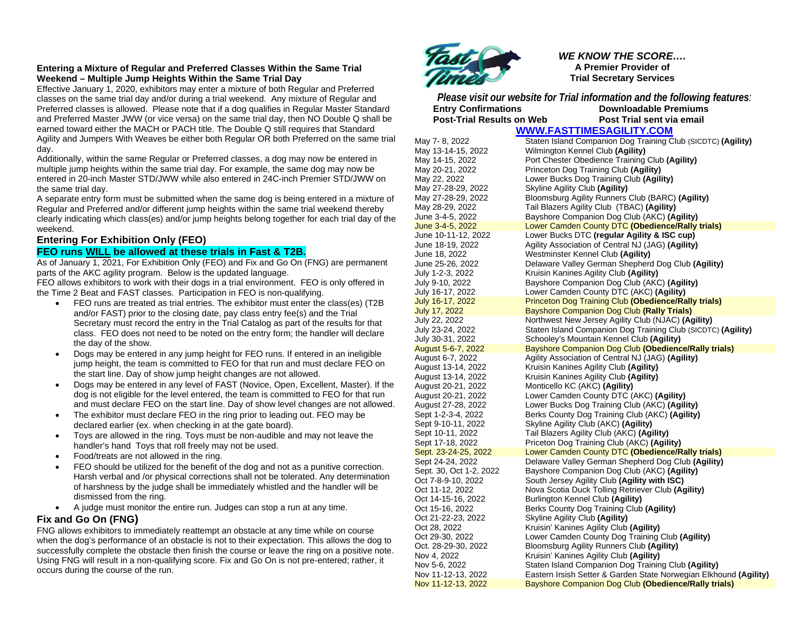#### **Entering a Mixture of Regular and Preferred Classes Within the Same Trial Weekend – Multiple Jump Heights Within the Same Trial Day**

Effective January 1, 2020, exhibitors may enter a mixture of both Regular and Preferred classes on the same trial day and/or during a trial weekend. Any mixture of Regular and Preferred classes is allowed. Please note that if a dog qualifies in Regular Master Standard and Preferred Master JWW (or vice versa) on the same trial day, then NO Double Q shall be earned toward either the MACH or PACH title. The Double Q still requires that Standard Agility and Jumpers With Weaves be either both Regular OR both Preferred on the same trial day.

Additionally, within the same Regular or Preferred classes, a dog may now be entered in multiple jump heights within the same trial day. For example, the same dog may now be entered in 20-inch Master STD/JWW while also entered in 24C-inch Premier STD/JWW on the same trial day.

A separate entry form must be submitted when the same dog is being entered in a mixture of Regular and Preferred and/or different jump heights within the same trial weekend thereby clearly indicating which class(es) and/or jump heights belong together for each trial day of the weekend.

#### **Entering For Exhibition Only (FEO)**

#### **FEO runs WILL be allowed at these trials in Fast & T2B.**

As of January 1, 2021, For Exhibition Only (FEO) and Fix and Go On (FNG) are permanent parts of the AKC agility program. Below is the updated language.

FEO allows exhibitors to work with their dogs in a trial environment. FEO is only offered in the Time 2 Beat and FAST classes. Participation in FEO is non-qualifying.

- FEO runs are treated as trial entries. The exhibitor must enter the class(es) (T2B and/or FAST) prior to the closing date, pay class entry fee(s) and the Trial Secretary must record the entry in the Trial Catalog as part of the results for that class. FEO does not need to be noted on the entry form; the handler will declare the day of the show.
- Dogs may be entered in any jump height for FEO runs. If entered in an ineligible jump height, the team is committed to FEO for that run and must declare FEO on the start line. Day of show jump height changes are not allowed.
- Dogs may be entered in any level of FAST (Novice, Open, Excellent, Master). If the dog is not eligible for the level entered, the team is committed to FEO for that run and must declare FEO on the start line. Day of show level changes are not allowed.
- The exhibitor must declare FEO in the ring prior to leading out. FEO may be declared earlier (ex. when checking in at the gate board).
- Toys are allowed in the ring. Toys must be non-audible and may not leave the handler's hand Toys that roll freely may not be used.
- Food/treats are not allowed in the ring.
- FEO should be utilized for the benefit of the dog and not as a punitive correction. Harsh verbal and /or physical corrections shall not be tolerated. Any determination of harshness by the judge shall be immediately whistled and the handler will be dismissed from the ring.
- A judge must monitor the entire run. Judges can stop a run at any time.

#### **Fix and Go On (FNG)**

FNG allows exhibitors to immediately reattempt an obstacle at any time while on course when the dog's performance of an obstacle is not to their expectation. This allows the dog to successfully complete the obstacle then finish the course or leave the ring on a positive note. Using FNG will result in a non-qualifying score. Fix and Go On is not pre-entered; rather, it occurs during the course of the run.



*WE KNOW THE SCORE….* **A Premier Provider of Trial Secretary Services**

*Please visit our website for Trial information and the following features:* **Pownloadable Premiums**<br>**Post Trial sent via email Post-Trial Results on Web** 

**[WWW.FASTTIMESAGILITY.COM](about:blank)**

May 7- 8, 2022 **Staten Island Companion Dog Training Club (SICDTC) (Agility)**<br>May 13-14-15, 2022 Wilmington Kennel Club **(Agility) Wilmington Kennel Club (Agility)** May 14-15, 2022 Port Chester Obedience Training Club **(Agility)** May 20-21, 2022 Princeton Dog Training Club **(Agility)**<br>May 22, 2022 Lower Bucks Dog Training Club **(Agili** May 22, 2022 Lower Bucks Dog Training Club **(Agility)** May 27-28-29, 2022 Skyline Agility Club **(Agility)** May 27-28-29, 2022 Bloomsburg Agility Runners Club (BARC) **(Agility)** May 28-29, 2022 Tail Blazers Agility Club (TBAC) **(Agility)** June 3-4-5, 2022 Bayshore Companion Dog Club (AKC) **(Agility) June 3-4-5, 2022** Lower Camden County DTC **(Obedience/Rally trials)**<br>June 10-11-12, 2022 Lower Bucks DTC **(requiar Agility & ISC cup)** June 10-11-12, 2022 Lower Bucks DTC **(regular Agility & ISC cup)** Agility Association of Central NJ (JAG) (Agility) June 18, 2022 Westminster Kennel Club **(Agility)** June 25-26, 2022 Delaware Valley German Shepherd Dog Club **(Agility)** July 1-2-3, 2022 Kruisin Kanines Agility Club **(Agility)** July 9-10, 2022 Bayshore Companion Dog Club (AKC) **(Agility)** July 16-17, 2022 Lower Camden County DTC (AKC) **(Agility)** July 16-17, 2022 Princeton Dog Training Club **(Obedience/Rally trials) July 17, 2022 Bayshore Companion Dog Club (Rally Trials)**<br>July 22, 2022 **Bayshore Companion Dog Club** (NJAC) (Ag Northwest New Jersey Agility Club (NJAC) (Agility) July 23-24, 2022 Staten Island Companion Dog Training Club (SICDTC) **(Agility)** July 30-31, 2022 Schooley's Mountain Kennel Club **(Agility)** August 5-6-7, 2022 **Bayshore Companion Dog Club (Obedience/Rally trials)**<br>August 6-7, 2022 Agility Association of Central NJ (JAG) (Agility) August 6-7, 2022 Agility Association of Central NJ (JAG) **(Agility)** August 13-14, 2022 Kruisin Kanines Agility Club **(Agility)** August 13-14, 2022 Kruisin Kanines Agility Club **(Agility)** August 20-21, 2022 Monticello KC (AKC) **(Agility)** Lower Camden County DTC (AKC) (Agility) August 27-28, 2022 Lower Bucks Dog Training Club (AKC) **(Agility)** Sept 1-2-3-4, 2022 Berks County Dog Training Club (AKC) **(Agility)** Sept 9-10-11, 2022 Skyline Agility Club (AKC) **(Agility)** Sept 10-11, 2022 Tail Blazers Agility Club (AKC) **(Agility)** Sept 17-18, 2022 Priceton Dog Training Club (AKC) **(Agility)**<br> **Sept. 23-24-25, 2022** Lower Camden County DTC **(Obedience/R Lower Camden County DTC (Obedience/Rally trials)** Sept 24-24, 2022 Delaware Valley German Shepherd Dog Club **(Agility)** Bayshore Companion Dog Club (AKC) **(Agility)** Oct 7-8-9-10, 2022 South Jersey Agility Club **(Agility with ISC)**  Nova Scotia Duck Tolling Retriever Club (Agility) Oct 14-15-16, 2022 Burlington Kennel Club **(Agility)** Oct 15-16, 2022 **Berks County Dog Training Club (Agility)**<br>
Oct 21-22-23, 2022 Skyline Agility Club (Agility) Oct 21-22-23, 2022 Skyline Agility Club **(Agility)** Oct 28, 2022 **Kruisin' Kanines Agility Club (Agility)**<br>
Oct 29-30. 2022 Lower Camden County Dog Training ( Oct 29-30, 2022 Lower Camden County Dog Training Club **(Agility)** Bloomsburg Agility Runners Club (Agility) Nov 4, 2022 Kruisin' Kanines Agility Club **(Agility)** Nov 5-6, 2022 Staten Island Companion Dog Training Club **(Agility)** Nov 11-12-13, 2022 Eastern Irsish Setter & Garden State Norwegian Elkhound **(Agility) Bayshore Companion Dog Club (Obedience/Rally trials)**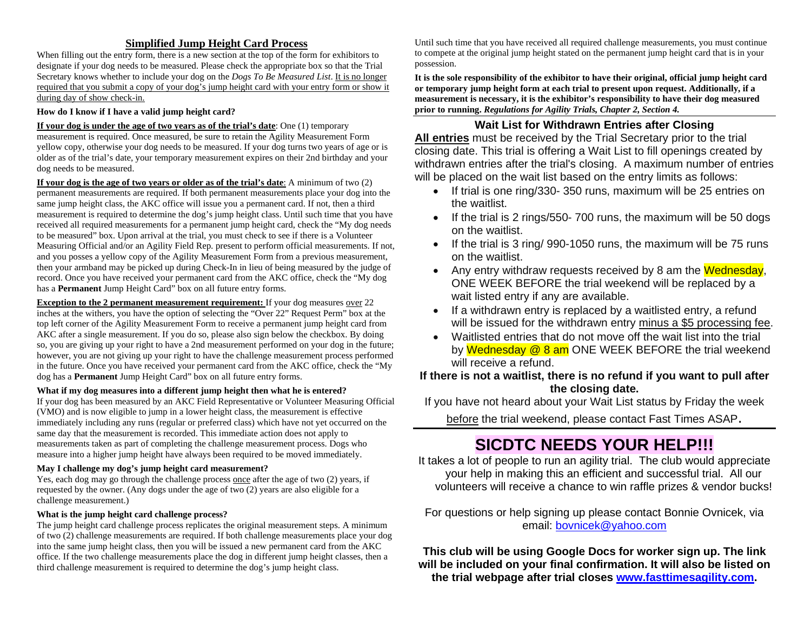### **Simplified Jump Height Card Process**

When filling out the entry form, there is a new section at the top of the form for exhibitors to designate if your dog needs to be measured. Please check the appropriate box so that the Trial Secretary knows whether to include your dog on the *Dogs To Be Measured List*. It is no longer required that you submit a copy of your dog's jump height card with your entry form or show it during day of show check-in.

#### **How do I know if I have a valid jump height card?**

**If your dog is under the age of two years as of the trial's date**: One (1) temporary measurement is required. Once measured, be sure to retain the Agility Measurement Form yellow copy, otherwise your dog needs to be measured. If your dog turns two years of age or is older as of the trial's date, your temporary measurement expires on their 2nd birthday and your dog needs to be measured.

**If your dog is the age of two years or older as of the trial's date**: A minimum of two (2) permanent measurements are required. If both permanent measurements place your dog into the same jump height class, the AKC office will issue you a permanent card. If not, then a third measurement is required to determine the dog's jump height class. Until such time that you have received all required measurements for a permanent jump height card, check the "My dog needs to be measured" box. Upon arrival at the trial, you must check to see if there is a Volunteer Measuring Official and/or an Agility Field Rep. present to perform official measurements. If not, and you posses a yellow copy of the Agility Measurement Form from a previous measurement, then your armband may be picked up during Check-In in lieu of being measured by the judge of record. Once you have received your permanent card from the AKC office, check the "My dog has a **Permanent** Jump Height Card" box on all future entry forms.

**Exception to the 2 permanent measurement requirement:** If your dog measures over 22 inches at the withers, you have the option of selecting the "Over 22" Request Perm" box at the top left corner of the Agility Measurement Form to receive a permanent jump height card from AKC after a single measurement. If you do so, please also sign below the checkbox. By doing so, you are giving up your right to have a 2nd measurement performed on your dog in the future; however, you are not giving up your right to have the challenge measurement process performed in the future. Once you have received your permanent card from the AKC office, check the "My dog has a **Permanent** Jump Height Card" box on all future entry forms.

#### **What if my dog measures into a different jump height then what he is entered?**

If your dog has been measured by an AKC Field Representative or Volunteer Measuring Official (VMO) and is now eligible to jump in a lower height class, the measurement is effective immediately including any runs (regular or preferred class) which have not yet occurred on the same day that the measurement is recorded. This immediate action does not apply to measurements taken as part of completing the challenge measurement process. Dogs who measure into a higher jump height have always been required to be moved immediately.

#### **May I challenge my dog's jump height card measurement?**

Yes, each dog may go through the challenge process once after the age of two (2) years, if requested by the owner. (Any dogs under the age of two (2) years are also eligible for a challenge measurement.)

#### **What is the jump height card challenge process?**

The jump height card challenge process replicates the original measurement steps. A minimum of two (2) challenge measurements are required. If both challenge measurements place your dog into the same jump height class, then you will be issued a new permanent card from the AKC office. If the two challenge measurements place the dog in different jump height classes, then a third challenge measurement is required to determine the dog's jump height class.

Until such time that you have received all required challenge measurements, you must continue to compete at the original jump height stated on the permanent jump height card that is in your possession.

**It is the sole responsibility of the exhibitor to have their original, official jump height card or temporary jump height form at each trial to present upon request. Additionally, if a measurement is necessary, it is the exhibitor's responsibility to have their dog measured prior to running.** *Regulations for Agility Trials, Chapter 2, Section 4.*

### **Wait List for Withdrawn Entries after Closing**

**All entries** must be received by the Trial Secretary prior to the trial closing date. This trial is offering a Wait List to fill openings created by withdrawn entries after the trial's closing. A maximum number of entries will be placed on the wait list based on the entry limits as follows:

- If trial is one ring/330- 350 runs, maximum will be 25 entries on the waitlist.
- If the trial is 2 rings/550-700 runs, the maximum will be 50 dogs on the waitlist.
- If the trial is 3 ring/ 990-1050 runs, the maximum will be 75 runs on the waitlist.
- Any entry withdraw requests received by 8 am the Wednesday, ONE WEEK BEFORE the trial weekend will be replaced by a wait listed entry if any are available.
- If a withdrawn entry is replaced by a waitlisted entry, a refund will be issued for the withdrawn entry minus a \$5 processing fee.
- Waitlisted entries that do not move off the wait list into the trial by Wednesday @ 8 am ONE WEEK BEFORE the trial weekend will receive a refund.

### **If there is not a waitlist, there is no refund if you want to pull after the closing date.**

If you have not heard about your Wait List status by Friday the week

before the trial weekend, please contact Fast Times ASAP.

# **SICDTC NEEDS YOUR HELP!!!**

It takes a lot of people to run an agility trial. The club would appreciate your help in making this an efficient and successful trial. All our volunteers will receive a chance to win raffle prizes & vendor bucks!

For questions or help signing up please contact Bonnie Ovnicek, via email: [bovnicek@yahoo.com](mailto:bovnicek@yahoo.com)

**This club will be using Google Docs for worker sign up. The link will be included on your final confirmation. It will also be listed on the trial webpage after trial closes [www.fasttimesagility.com.](about:blank)**